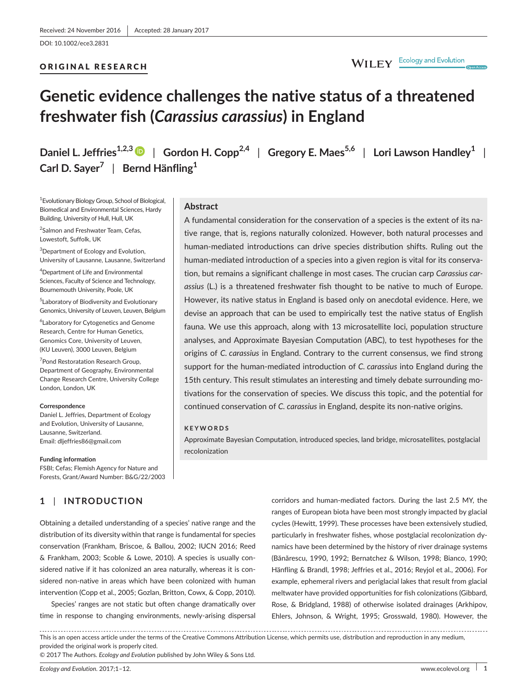DOI: 10.1002/ece3.2831

#### ORIGINAL RESEARCH

# WILEY Ecology and Evolution

# **Genetic evidence challenges the native status of a threatened freshwater fish (***Carassius carassius***) in England**

**Daniel L. Jeffries1,2,3** | **Gordon H. Copp2,4** | **Gregory E. Maes5,6** | **Lori Lawson Handley<sup>1</sup>** | **Carl D. Sayer<sup>7</sup>** | **Bernd Hänfling<sup>1</sup>**

> A fundamental consideration for the conservation of a species is the extent of its native range, that is, regions naturally colonized. However, both natural processes and human-mediated introductions can drive species distribution shifts. Ruling out the human-mediated introduction of a species into a given region is vital for its conservation, but remains a significant challenge in most cases. The crucian carp *Carassius carassius* (L.) is a threatened freshwater fish thought to be native to much of Europe. However, its native status in England is based only on anecdotal evidence. Here, we devise an approach that can be used to empirically test the native status of English fauna. We use this approach, along with 13 microsatellite loci, population structure analyses, and Approximate Bayesian Computation (ABC), to test hypotheses for the origins of *C. carassius* in England. Contrary to the current consensus, we find strong support for the human-mediated introduction of *C. carassius* into England during the 15th century. This result stimulates an interesting and timely debate surrounding motivations for the conservation of species. We discuss this topic, and the potential for continued conservation of *C. carassius* in England, despite its non-native origins.

Approximate Bayesian Computation, introduced species, land bridge, microsatellites, postglacial

**Abstract**

**KEYWORDS**

recolonization

1 Evolutionary Biology Group, School of Biological, Biomedical and Environmental Sciences, Hardy Building, University of Hull, Hull, UK

<sup>2</sup>Salmon and Freshwater Team, Cefas, Lowestoft, Suffolk, UK

 $^3$ Department of Ecology and Evolution, University of Lausanne, Lausanne, Switzerland

4 Department of Life and Environmental Sciences, Faculty of Science and Technology, Bournemouth University, Poole, UK

5 Laboratory of Biodiversity and Evolutionary Genomics, University of Leuven, Leuven, Belgium

6 Laboratory for Cytogenetics and Genome Research, Centre for Human Genetics, Genomics Core, University of Leuven, (KU Leuven), 3000 Leuven, Belgium

<sup>7</sup>Pond Restoratation Research Group, Department of Geography, Environmental Change Research Centre, University College London, London, UK

#### **Correspondence**

Daniel L. Jeffries, Department of Ecology and Evolution, University of Lausanne, Lausanne, Switzerland. Email: [dljeffries86@gmail.com](mailto:dljeffries86@gmail.com)

#### **Funding information**

FSBI; Cefas; Flemish Agency for Nature and Forests, Grant/Award Number: B&G/22/2003

# **1** | **INTRODUCTION**

# Obtaining a detailed understanding of a species' native range and the distribution of its diversity within that range is fundamental for species conservation (Frankham, Briscoe, & Ballou, 2002; IUCN 2016; Reed & Frankham, 2003; Scoble & Lowe, 2010). A species is usually considered native if it has colonized an area naturally, whereas it is considered non-native in areas which have been colonized with human intervention (Copp et al., 2005; Gozlan, Britton, Cowx, & Copp, 2010).

Species' ranges are not static but often change dramatically over time in response to changing environments, newly-arising dispersal corridors and human-mediated factors. During the last 2.5 MY, the ranges of European biota have been most strongly impacted by glacial cycles (Hewitt, 1999). These processes have been extensively studied, particularly in freshwater fishes, whose postglacial recolonization dynamics have been determined by the history of river drainage systems (Bănărescu, 1990, 1992; Bernatchez & Wilson, 1998; Bianco, 1990; Hänfling & Brandl, 1998; Jeffries et al., 2016; Reyjol et al., 2006). For example, ephemeral rivers and periglacial lakes that result from glacial meltwater have provided opportunities for fish colonizations (Gibbard, Rose, & Bridgland, 1988) of otherwise isolated drainages (Arkhipov, Ehlers, Johnson, & Wright, 1995; Grosswald, 1980). However, the

This is an open access article under the terms of the Creative Commons [Attribution](http://creativecommons.org/licenses/by/4.0/) License, which permits use, distribution and reproduction in any medium, provided the original work is properly cited.

© 2017 The Authors. *Ecology and Evolution* published by John Wiley & Sons Ltd.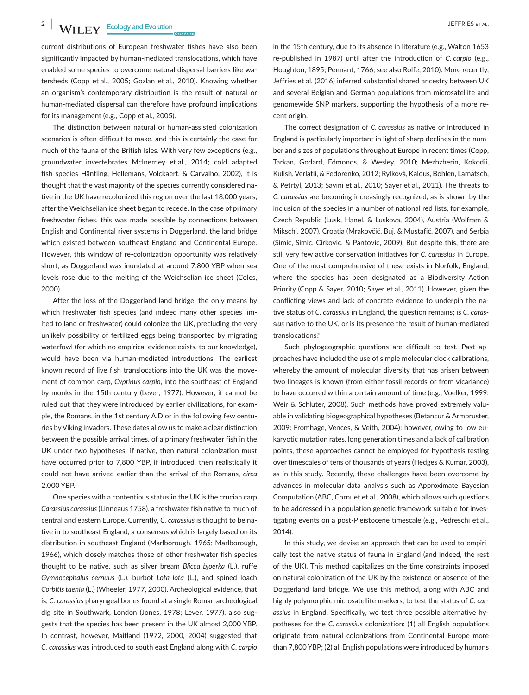**2 |**  JEFFRIES et al

current distributions of European freshwater fishes have also been significantly impacted by human-mediated translocations, which have enabled some species to overcome natural dispersal barriers like watersheds (Copp et al., 2005; Gozlan et al., 2010). Knowing whether an organism's contemporary distribution is the result of natural or human-mediated dispersal can therefore have profound implications for its management (e.g., Copp et al., 2005).

The distinction between natural or human-assisted colonization scenarios is often difficult to make, and this is certainly the case for much of the fauna of the British Isles. With very few exceptions (e.g., groundwater invertebrates McInerney et al., 2014; cold adapted fish species Hänfling, Hellemans, Volckaert, & Carvalho, 2002), it is thought that the vast majority of the species currently considered native in the UK have recolonized this region over the last 18,000 years, after the Weichselian ice sheet began to recede. In the case of primary freshwater fishes, this was made possible by connections between English and Continental river systems in Doggerland, the land bridge which existed between southeast England and Continental Europe. However, this window of re-colonization opportunity was relatively short, as Doggerland was inundated at around 7,800 YBP when sea levels rose due to the melting of the Weichselian ice sheet (Coles, 2000).

After the loss of the Doggerland land bridge, the only means by which freshwater fish species (and indeed many other species limited to land or freshwater) could colonize the UK, precluding the very unlikely possibility of fertilized eggs being transported by migrating waterfowl (for which no empirical evidence exists, to our knowledge), would have been via human-mediated introductions. The earliest known record of live fish translocations into the UK was the movement of common carp, *Cyprinus carpio*, into the southeast of England by monks in the 15th century (Lever, 1977). However, it cannot be ruled out that they were introduced by earlier civilizations, for example, the Romans, in the 1st century A.D or in the following few centuries byViking invaders. These dates allow us to make a clear distinction between the possible arrival times, of a primary freshwater fish in the UK under two hypotheses; if native, then natural colonization must have occurred prior to 7,800 YBP, if introduced, then realistically it could not have arrived earlier than the arrival of the Romans, *circa* 2,000 YBP.

One species with a contentious status in the UK is the crucian carp *Carassius carassius* (Linneaus 1758), a freshwater fish native to much of central and eastern Europe. Currently, *C. carassius* is thought to be native in to southeast England, a consensus which is largely based on its distribution in southeast England (Marlborough, 1965; Marlborough, 1966), which closely matches those of other freshwater fish species thought to be native, such as silver bream *Blicca bjoerka* (L.), ruffe *Gymnocephalus cernuus* (L.), burbot *Lota lota* (L.), and spined loach *Corbitis taenia* (L.) (Wheeler, 1977, 2000). Archeological evidence, that is, *C. carassius* pharyngeal bones found at a single Roman archeological dig site in Southwark, London (Jones, 1978; Lever, 1977), also suggests that the species has been present in the UK almost 2,000 YBP. In contrast, however, Maitland (1972, 2000, 2004) suggested that *C. carassius* was introduced to south east England along with *C. carpio*

in the 15th century, due to its absence in literature (e.g., Walton 1653 re-published in 1987) until after the introduction of *C. carpio* (e.g., Houghton, 1895; Pennant, 1766; see also Rolfe, 2010). More recently, Jeffries et al. (2016) inferred substantial shared ancestry between UK and several Belgian and German populations from microsatellite and genomewide SNP markers, supporting the hypothesis of a more recent origin.

The correct designation of *C. carassius* as native or introduced in England is particularly important in light of sharp declines in the number and sizes of populations throughout Europe in recent times (Copp, Tarkan, Godard, Edmonds, & Wesley, 2010; Mezhzherin, Kokodii, Kulish, Verlatii, & Fedorenko, 2012; Rylková, Kalous, Bohlen, Lamatsch, & Petrtýl, 2013; Savini et al., 2010; Sayer et al., 2011). The threats to *C. carassius* are becoming increasingly recognized, as is shown by the inclusion of the species in a number of national red lists, for example, Czech Republic (Lusk, Hanel, & Luskova, 2004), Austria (Wolfram & Mikschi, 2007), Croatia (Mrakovčić, Buj, & Mustafić, 2007), and Serbia (Simic, Simic, Cirkovic, & Pantovic, 2009). But despite this, there are still very few active conservation initiatives for *C. carassius* in Europe. One of the most comprehensive of these exists in Norfolk, England, where the species has been designated as a Biodiversity Action Priority (Copp & Sayer, 2010; Sayer et al., 2011). However, given the conflicting views and lack of concrete evidence to underpin the native status of *C. carassius* in England, the question remains; is *C. carassius* native to the UK, or is its presence the result of human-mediated translocations?

Such phylogeographic questions are difficult to test. Past approaches have included the use of simple molecular clock calibrations, whereby the amount of molecular diversity that has arisen between two lineages is known (from either fossil records or from vicariance) to have occurred within a certain amount of time (e.g., Voelker, 1999; Weir & Schluter, 2008). Such methods have proved extremely valuable in validating biogeographical hypotheses (Betancur & Armbruster, 2009; Fromhage, Vences, & Veith, 2004); however, owing to low eukaryotic mutation rates, long generation times and a lack of calibration points, these approaches cannot be employed for hypothesis testing over timescales of tens of thousands of years (Hedges & Kumar, 2003), as in this study. Recently, these challenges have been overcome by advances in molecular data analysis such as Approximate Bayesian Computation (ABC, Cornuet et al., 2008), which allows such questions to be addressed in a population genetic framework suitable for investigating events on a post-Pleistocene timescale (e.g., Pedreschi et al., 2014).

In this study, we devise an approach that can be used to empirically test the native status of fauna in England (and indeed, the rest of the UK). This method capitalizes on the time constraints imposed on natural colonization of the UK by the existence or absence of the Doggerland land bridge. We use this method, along with ABC and highly polymorphic microsatellite markers, to test the status of *C. carassius* in England. Specifically, we test three possible alternative hypotheses for the *C. carassius* colonization: (1) all English populations originate from natural colonizations from Continental Europe more than 7,800 YBP; (2) all English populations were introduced by humans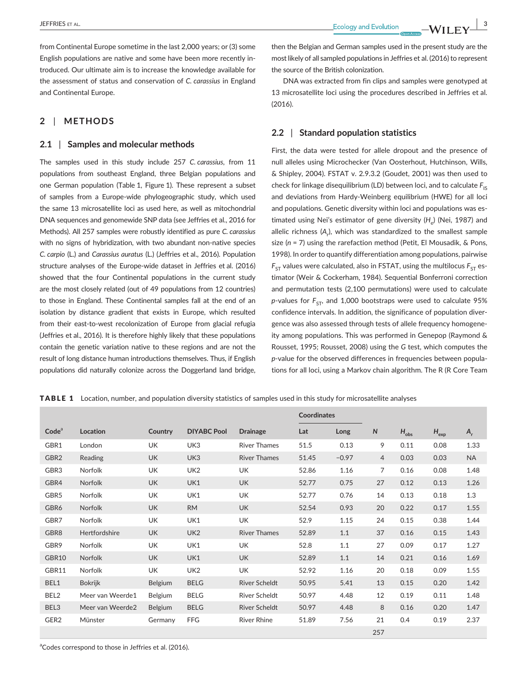from Continental Europe sometime in the last 2,000 years; or (3) some English populations are native and some have been more recently introduced. Our ultimate aim is to increase the knowledge available for the assessment of status and conservation of *C. carassius* in England and Continental Europe.

## **2** | **METHODS**

#### **2.1** | **Samples and molecular methods**

The samples used in this study include 257 *C. carassius*, from 11 populations from southeast England, three Belgian populations and one German population (Table 1, Figure 1). These represent a subset of samples from a Europe-wide phylogeographic study, which used the same 13 microsatellite loci as used here, as well as mitochondrial DNA sequences and genomewide SNP data (see Jeffries et al., 2016 for Methods). All 257 samples were robustly identified as pure *C. carassius* with no signs of hybridization, with two abundant non-native species *C. carpio* (L.) and *Carassius auratus* (L.) (Jeffries et al., 2016). Population structure analyses of the Europe-wide dataset in Jeffries et al. (2016) showed that the four Continental populations in the current study are the most closely related (out of 49 populations from 12 countries) to those in England. These Continental samples fall at the end of an isolation by distance gradient that exists in Europe, which resulted from their east-to-west recolonization of Europe from glacial refugia (Jeffries et al., 2016). It is therefore highly likely that these populations contain the genetic variation native to these regions and are not the result of long distance human introductions themselves. Thus, if English populations did naturally colonize across the Doggerland land bridge, then the Belgian and German samples used in the present study are the most likely of all sampled populations in Jeffries et al. (2016) to represent the source of the British colonization.

DNA was extracted from fin clips and samples were genotyped at 13 microsatellite loci using the procedures described in Jeffries et al. (2016).

#### **2.2** | **Standard population statistics**

First, the data were tested for allele dropout and the presence of null alleles using Microchecker (Van Oosterhout, Hutchinson, Wills, & Shipley, 2004). FSTAT v. 2.9.3.2 (Goudet, 2001) was then used to check for linkage disequilibrium (LD) between loci, and to calculate F<sub>IS</sub> and deviations from Hardy-Weinberg equilibrium (HWE) for all loci and populations. Genetic diversity within loci and populations was estimated using Nei's estimator of gene diversity (H<sub>a</sub>) (Nei, 1987) and allelic richness (A<sub>r</sub>), which was standardized to the smallest sample size (*n* = 7) using the rarefaction method (Petit, El Mousadik, & Pons, 1998). In order to quantify differentiation among populations, pairwise  $F_{ST}$  values were calculated, also in FSTAT, using the multilocus  $F_{ST}$  estimator (Weir & Cockerham, 1984). Sequential Bonferroni correction and permutation tests (2,100 permutations) were used to calculate *p*-values for  $F_{ST}$ , and 1,000 bootstraps were used to calculate 95% confidence intervals. In addition, the significance of population divergence was also assessed through tests of allele frequency homogeneity among populations. This was performed in Genepop (Raymond & Rousset, 1995; Rousset, 2008) using the *G* test, which computes the *p-*value for the observed differences in frequencies between populations for all loci, using a Markov chain algorithm. The R (R Core Team

TABLE 1 Location, number, and population diversity statistics of samples used in this study for microsatellite analyses

|                   |                  |                |                    |                     | <b>Coordinates</b> |         |                |           |                     |           |
|-------------------|------------------|----------------|--------------------|---------------------|--------------------|---------|----------------|-----------|---------------------|-----------|
| Code <sup>a</sup> | Location         | Country        | <b>DIYABC Pool</b> | <b>Drainage</b>     | Lat                | Long    | $\mathsf{N}$   | $H_{obs}$ | ${\sf H}_{\sf exp}$ | $A_r$     |
| GBR1              | London           | UK             | UK3                | <b>River Thames</b> | 51.5               | 0.13    | 9              | 0.11      | 0.08                | 1.33      |
| GBR2              | Reading          | <b>UK</b>      | UK3                | <b>River Thames</b> | 51.45              | $-0.97$ | $\overline{4}$ | 0.03      | 0.03                | <b>NA</b> |
| GBR3              | Norfolk          | <b>UK</b>      | UK <sub>2</sub>    | <b>UK</b>           | 52.86              | 1.16    | 7              | 0.16      | 0.08                | 1.48      |
| GBR4              | Norfolk          | <b>UK</b>      | UK1                | <b>UK</b>           | 52.77              | 0.75    | 27             | 0.12      | 0.13                | 1.26      |
| GBR5              | Norfolk          | UK             | UK1                | UK                  | 52.77              | 0.76    | 14             | 0.13      | 0.18                | 1.3       |
| GBR6              | Norfolk          | <b>UK</b>      | <b>RM</b>          | <b>UK</b>           | 52.54              | 0.93    | 20             | 0.22      | 0.17                | 1.55      |
| GBR7              | Norfolk          | <b>UK</b>      | UK1                | <b>UK</b>           | 52.9               | 1.15    | 24             | 0.15      | 0.38                | 1.44      |
| GBR <sub>8</sub>  | Hertfordshire    | <b>UK</b>      | UK <sub>2</sub>    | <b>River Thames</b> | 52.89              | 1.1     | 37             | 0.16      | 0.15                | 1.43      |
| GBR9              | Norfolk          | UK             | UK1                | <b>UK</b>           | 52.8               | 1.1     | 27             | 0.09      | 0.17                | 1.27      |
| GBR10             | Norfolk          | <b>UK</b>      | UK1                | <b>UK</b>           | 52.89              | 1.1     | 14             | 0.21      | 0.16                | 1.69      |
| GBR11             | Norfolk          | <b>UK</b>      | UK <sub>2</sub>    | <b>UK</b>           | 52.92              | 1.16    | 20             | 0.18      | 0.09                | 1.55      |
| BEL1              | <b>Bokrijk</b>   | Belgium        | <b>BELG</b>        | River Scheldt       | 50.95              | 5.41    | 13             | 0.15      | 0.20                | 1.42      |
| BEL <sub>2</sub>  | Meer van Weerde1 | Belgium        | <b>BELG</b>        | River Scheldt       | 50.97              | 4.48    | 12             | 0.19      | 0.11                | 1.48      |
| BEL3              | Meer van Weerde2 | <b>Belgium</b> | <b>BELG</b>        | River Scheldt       | 50.97              | 4.48    | 8              | 0.16      | 0.20                | 1.47      |
| GER2              | Münster          | Germany        | <b>FFG</b>         | <b>River Rhine</b>  | 51.89              | 7.56    | 21             | 0.4       | 0.19                | 2.37      |
|                   |                  |                |                    |                     |                    |         | 257            |           |                     |           |

<sup>a</sup>Codes correspond to those in Jeffries et al. (2016).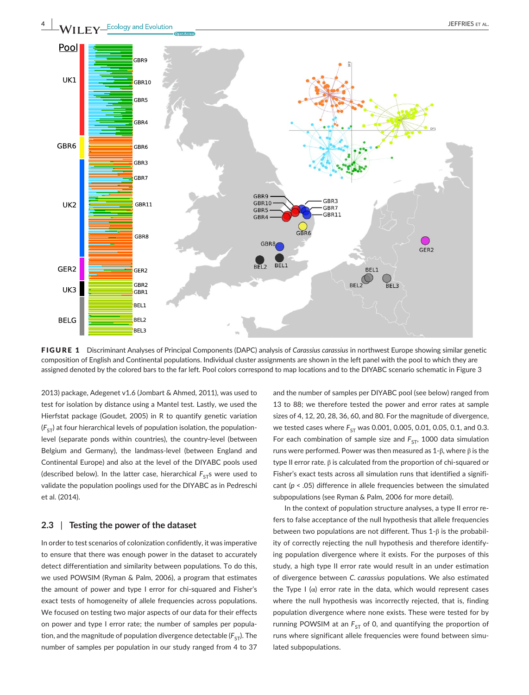



FIGURE 1 Discriminant Analyses of Principal Components (DAPC) analysis of *Carassius carassius* in northwest Europe showing similar genetic composition of English and Continental populations. Individual cluster assignments are shown in the left panel with the pool to which they are assigned denoted by the colored bars to the far left. Pool colors correspond to map locations and to the DIYABC scenario schematic in Figure 3

2013) package, Adegenet v1.6 (Jombart & Ahmed, 2011), was used to test for isolation by distance using a Mantel test. Lastly, we used the Hierfstat package (Goudet, 2005) in R to quantify genetic variation  $(F<sub>ST</sub>)$  at four hierarchical levels of population isolation, the populationlevel (separate ponds within countries), the country-level (between Belgium and Germany), the landmass-level (between England and Continental Europe) and also at the level of the DIYABC pools used (described below). In the latter case, hierarchical  $F_{ST}$ s were used to validate the population poolings used for the DIYABC as in Pedreschi et al. (2014).

### **2.3** | **Testing the power of the dataset**

In order to test scenarios of colonization confidently, it was imperative to ensure that there was enough power in the dataset to accurately detect differentiation and similarity between populations. To do this, we used POWSIM (Ryman & Palm, 2006), a program that estimates the amount of power and type I error for chi-squared and Fisher's exact tests of homogeneity of allele frequencies across populations. We focused on testing two major aspects of our data for their effects on power and type I error rate; the number of samples per population, and the magnitude of population divergence detectable  $(F_{ST})$ . The number of samples per population in our study ranged from 4 to 37

and the number of samples per DIYABC pool (see below) ranged from 13 to 88; we therefore tested the power and error rates at sample sizes of 4, 12, 20, 28, 36, 60, and 80. For the magnitude of divergence, we tested cases where  $F_{ST}$  was 0.001, 0.005, 0.01, 0.05, 0.1, and 0.3. For each combination of sample size and  $F_{ST}$ , 1000 data simulation runs were performed. Power was then measured as 1-β, where β is the type II error rate. β is calculated from the proportion of chi-squared or Fisher's exact tests across all simulation runs that identified a significant (*p* < .05) difference in allele frequencies between the simulated subpopulations (see Ryman & Palm, 2006 for more detail).

In the context of population structure analyses, a type II error refers to false acceptance of the null hypothesis that allele frequencies between two populations are not different. Thus 1-β is the probability of correctly rejecting the null hypothesis and therefore identifying population divergence where it exists. For the purposes of this study, a high type II error rate would result in an under estimation of divergence between *C. carassius* populations. We also estimated the Type I  $(\alpha)$  error rate in the data, which would represent cases where the null hypothesis was incorrectly rejected, that is, finding population divergence where none exists. These were tested for by running POWSIM at an  $F_{ST}$  of 0, and quantifying the proportion of runs where significant allele frequencies were found between simulated subpopulations.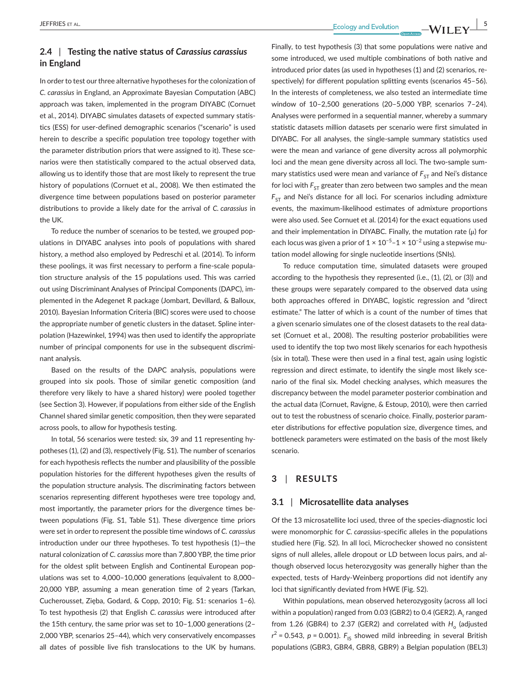## **2.4** | **Testing the native status of** *Carassius carassius* **in England**

In order to test our three alternative hypotheses for the colonization of *C. carassius* in England, an Approximate Bayesian Computation (ABC) approach was taken, implemented in the program DIYABC (Cornuet et al., 2014). DIYABC simulates datasets of expected summary statistics (ESS) for user-defined demographic scenarios ("scenario" is used herein to describe a specific population tree topology together with the parameter distribution priors that were assigned to it). These scenarios were then statistically compared to the actual observed data, allowing us to identify those that are most likely to represent the true history of populations (Cornuet et al., 2008). We then estimated the divergence time between populations based on posterior parameter distributions to provide a likely date for the arrival of *C. carassius* in the UK.

To reduce the number of scenarios to be tested, we grouped populations in DIYABC analyses into pools of populations with shared history, a method also employed by Pedreschi et al. (2014). To inform these poolings, it was first necessary to perform a fine-scale population structure analysis of the 15 populations used. This was carried out using Discriminant Analyses of Principal Components (DAPC), implemented in the Adegenet R package (Jombart, Devillard, & Balloux, 2010). Bayesian Information Criteria (BIC) scores were used to choose the appropriate number of genetic clusters in the dataset. Spline interpolation (Hazewinkel, 1994) was then used to identify the appropriate number of principal components for use in the subsequent discriminant analysis.

Based on the results of the DAPC analysis, populations were grouped into six pools. Those of similar genetic composition (and therefore very likely to have a shared history) were pooled together (see Section 3). However, if populations from either side of the English Channel shared similar genetic composition, then they were separated across pools, to allow for hypothesis testing.

In total, 56 scenarios were tested: six, 39 and 11 representing hypotheses (1), (2) and (3), respectively (Fig. S1). The number of scenarios for each hypothesis reflects the number and plausibility of the possible population histories for the different hypotheses given the results of the population structure analysis. The discriminating factors between scenarios representing different hypotheses were tree topology and, most importantly, the parameter priors for the divergence times between populations (Fig. S1, Table S1). These divergence time priors were set in order to represent the possible time windows of *C. carassius* introduction under our three hypotheses. To test hypothesis (1)—the natural colonization of *C. carassius* more than 7,800 YBP, the time prior for the oldest split between English and Continental European populations was set to 4,000–10,000 generations (equivalent to 8,000– 20,000 YBP, assuming a mean generation time of 2 years (Tarkan, Cucherousset, Zięba, Godard, & Copp, 2010; Fig. S1: scenarios 1–6). To test hypothesis (2) that English *C. carassius* were introduced after the 15th century, the same prior was set to 10–1,000 generations (2– 2,000 YBP, scenarios 25–44), which very conservatively encompasses all dates of possible live fish translocations to the UK by humans. Finally, to test hypothesis (3) that some populations were native and some introduced, we used multiple combinations of both native and introduced prior dates (as used in hypotheses (1) and (2) scenarios, respectively) for different population splitting events (scenarios 45–56). In the interests of completeness, we also tested an intermediate time window of 10–2,500 generations (20–5,000 YBP, scenarios 7–24). Analyses were performed in a sequential manner, whereby a summary statistic datasets million datasets per scenario were first simulated in DIYABC. For all analyses, the single-sample summary statistics used were the mean and variance of gene diversity across all polymorphic loci and the mean gene diversity across all loci. The two-sample summary statistics used were mean and variance of  $F_{ST}$  and Nei's distance for loci with  $F_{ST}$  greater than zero between two samples and the mean  $F_{ST}$  and Nei's distance for all loci. For scenarios including admixture events, the maximum-likelihood estimates of admixture proportions were also used. See Cornuet et al. (2014) for the exact equations used and their implementation in DIYABC. Finally, the mutation rate (μ) for each locus was given a prior of  $1 \times 10^{-5}$ – $1 \times 10^{-2}$  using a stepwise mutation model allowing for single nucleotide insertions (SNIs).

To reduce computation time, simulated datasets were grouped according to the hypothesis they represented (i.e., (1), (2), or (3)) and these groups were separately compared to the observed data using both approaches offered in DIYABC, logistic regression and "direct estimate." The latter of which is a count of the number of times that a given scenario simulates one of the closest datasets to the real dataset (Cornuet et al., 2008). The resulting posterior probabilities were used to identify the top two most likely scenarios for each hypothesis (six in total). These were then used in a final test, again using logistic regression and direct estimate, to identify the single most likely scenario of the final six. Model checking analyses, which measures the discrepancy between the model parameter posterior combination and the actual data (Cornuet, Ravigne, & Estoup, 2010), were then carried out to test the robustness of scenario choice. Finally, posterior parameter distributions for effective population size, divergence times, and bottleneck parameters were estimated on the basis of the most likely scenario.

#### **3** | **RESULTS**

#### **3.1** | **Microsatellite data analyses**

Of the 13 microsatellite loci used, three of the species-diagnostic loci were monomorphic for *C. carassius*-specific alleles in the populations studied here (Fig. S2). In all loci, Microchecker showed no consistent signs of null alleles, allele dropout or LD between locus pairs, and although observed locus heterozygosity was generally higher than the expected, tests of Hardy-Weinberg proportions did not identify any loci that significantly deviated from HWE (Fig. S2).

Within populations, mean observed heterozygosity (across all loci within a population) ranged from 0.03 (GBR2) to 0.4 (GER2). A, ranged from 1.26 (GBR4) to 2.37 (GER2) and correlated with *H<sub>o</sub>* (adjusted  $r^2$  = 0.543, *p* = 0.001).  $F_{1S}$  showed mild inbreeding in several British populations (GBR3, GBR4, GBR8, GBR9) a Belgian population (BEL3)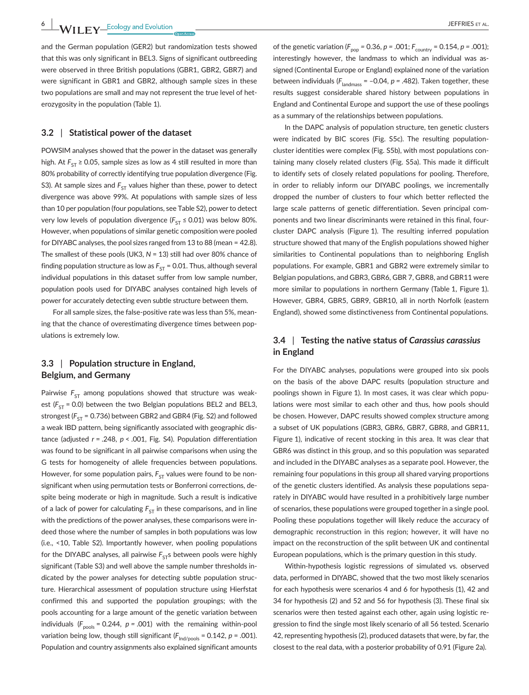and the German population (GER2) but randomization tests showed that this was only significant in BEL3. Signs of significant outbreeding were observed in three British populations (GBR1, GBR2, GBR7) and were significant in GBR1 and GBR2, although sample sizes in these two populations are small and may not represent the true level of heterozygosity in the population (Table 1).

#### **3.2** | **Statistical power of the dataset**

POWSIM analyses showed that the power in the dataset was generally high. At  $F_{ST} \ge 0.05$ , sample sizes as low as 4 still resulted in more than 80% probability of correctly identifying true population divergence (Fig. S3). At sample sizes and  $F_{ST}$  values higher than these, power to detect divergence was above 99%. At populations with sample sizes of less than 10 per population (four populations, see Table S2), power to detect very low levels of population divergence ( $F_{ST} \le 0.01$ ) was below 80%. However, when populations of similar genetic composition were pooled for DIYABC analyses, the pool sizes ranged from 13 to 88 (mean = 42.8). The smallest of these pools (UK3, *N* = 13) still had over 80% chance of finding population structure as low as  $F_{ST}$  = 0.01. Thus, although several individual populations in this dataset suffer from low sample number, population pools used for DIYABC analyses contained high levels of power for accurately detecting even subtle structure between them.

For all sample sizes, the false-positive rate was less than 5%, meaning that the chance of overestimating divergence times between populations is extremely low.

## **3.3** | **Population structure in England, Belgium, and Germany**

Pairwise  $F_{ST}$  among populations showed that structure was weakest  $(F_{ST} = 0.0)$  between the two Belgian populations BEL2 and BEL3, strongest ( $F_{ST}$  = 0.736) between GBR2 and GBR4 (Fig. S2) and followed a weak IBD pattern, being significantly associated with geographic distance (adjusted *r* = .248, *p* < .001, Fig. S4). Population differentiation was found to be significant in all pairwise comparisons when using the G tests for homogeneity of allele frequencies between populations. However, for some population pairs,  $F_{ST}$  values were found to be nonsignificant when using permutation tests or Bonferroni corrections, despite being moderate or high in magnitude. Such a result is indicative of a lack of power for calculating  $F_{ST}$  in these comparisons, and in line with the predictions of the power analyses, these comparisons were indeed those where the number of samples in both populations was low (i.e., <10, Table S2). Importantly however, when pooling populations for the DIYABC analyses, all pairwise  $F_{ST}$ s between pools were highly significant (Table S3) and well above the sample number thresholds indicated by the power analyses for detecting subtle population structure. Hierarchical assessment of population structure using Hierfstat confirmed this and supported the population groupings; with the pools accounting for a large amount of the genetic variation between individuals  $(F_{\text{pools}} = 0.244, p = .001)$  with the remaining within-pool variation being low, though still significant  $(F_{\text{Ind/pools}} = 0.142, p = .001)$ . Population and country assignments also explained significant amounts of the genetic variation ( $F_{\text{pop}}$  = 0.36,  $p$  = .001;  $F_{\text{counter}}$  = 0.154,  $p$  = .001); interestingly however, the landmass to which an individual was assigned (Continental Europe or England) explained none of the variation between individuals  $(F_{\text{landmass}} = -0.04, p = .482)$ . Taken together, these results suggest considerable shared history between populations in England and Continental Europe and support the use of these poolings as a summary of the relationships between populations.

In the DAPC analysis of population structure, ten genetic clusters were indicated by BIC scores (Fig. S5c). The resulting populationcluster identities were complex (Fig. S5b), with most populations containing many closely related clusters (Fig. S5a). This made it difficult to identify sets of closely related populations for pooling. Therefore, in order to reliably inform our DIYABC poolings, we incrementally dropped the number of clusters to four which better reflected the large scale patterns of genetic differentiation. Seven principal components and two linear discriminants were retained in this final, fourcluster DAPC analysis (Figure 1). The resulting inferred population structure showed that many of the English populations showed higher similarities to Continental populations than to neighboring English populations. For example, GBR1 and GBR2 were extremely similar to Belgian populations, and GBR3, GBR6, GBR 7, GBR8, and GBR11 were more similar to populations in northern Germany (Table 1, Figure 1). However, GBR4, GBR5, GBR9, GBR10, all in north Norfolk (eastern England), showed some distinctiveness from Continental populations.

## **3.4** | **Testing the native status of** *Carassius carassius* **in England**

For the DIYABC analyses, populations were grouped into six pools on the basis of the above DAPC results (population structure and poolings shown in Figure 1). In most cases, it was clear which populations were most similar to each other and thus, how pools should be chosen. However, DAPC results showed complex structure among a subset of UK populations (GBR3, GBR6, GBR7, GBR8, and GBR11, Figure 1), indicative of recent stocking in this area. It was clear that GBR6 was distinct in this group, and so this population was separated and included in the DIYABC analyses as a separate pool. However, the remaining four populations in this group all shared varying proportions of the genetic clusters identified. As analysis these populations separately in DIYABC would have resulted in a prohibitively large number of scenarios, these populations were grouped together in a single pool. Pooling these populations together will likely reduce the accuracy of demographic reconstruction in this region; however, it will have no impact on the reconstruction of the split between UK and continental European populations, which is the primary question in this study.

Within-hypothesis logistic regressions of simulated vs. observed data, performed in DIYABC, showed that the two most likely scenarios for each hypothesis were scenarios 4 and 6 for hypothesis (1), 42 and 34 for hypothesis (2) and 52 and 56 for hypothesis (3). These final six scenarios were then tested against each other, again using logistic regression to find the single most likely scenario of all 56 tested. Scenario 42, representing hypothesis (2), produced datasets that were, by far, the closest to the real data, with a posterior probability of 0.91 (Figure 2a).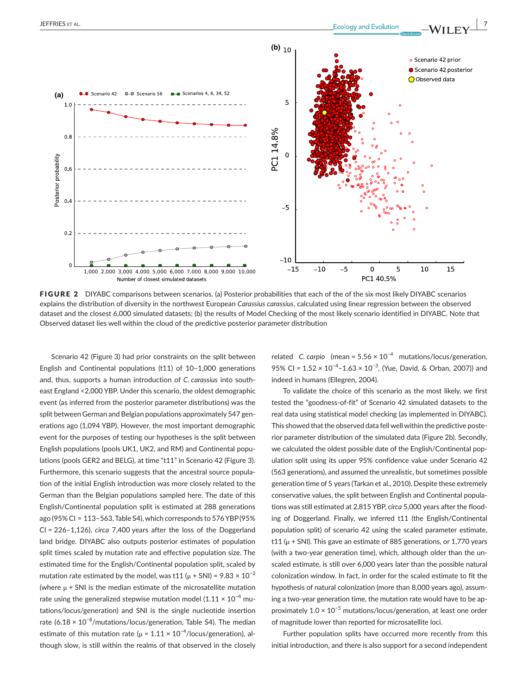

FIGURE 2 DIYABC comparisons between scenarios. (a) Posterior probabilities that each of the of the six most likely DIYABC scenarios explains the distribution of diversity in the northwest European *Carassius carassius*, calculated using linear regression between the observed dataset and the closest 6,000 simulated datasets; (b) the results of Model Checking of the most likely scenario identified in DIYABC. Note that Observed dataset lies well within the cloud of the predictive posterior parameter distribution

Scenario 42 (Figure 3) had prior constraints on the split between English and Continental populations (t11) of 10–1,000 generations and, thus, supports a human introduction of *C. carassius* into southeast England <2,000 YBP. Under this scenario, the oldest demographic event (as inferred from the posterior parameter distributions) was the split between German and Belgian populations approximately 547 generations ago (1,094 YBP). However, the most important demographic event for the purposes of testing our hypotheses is the split between English populations (pools UK1, UK2, and RM) and Continental populations (pools GER2 and BELG), at time "t11" in Scenario 42 (Figure 3). Furthermore, this scenario suggests that the ancestral source population of the initial English introduction was more closely related to the German than the Belgian populations sampled here. The date of this English/Continental population split is estimated at 288 generations ago (95% CI = 113–563,Table S4),which corresponds to 576YBP(95% CI = 226–1,126), *circa* 7,400 years after the loss of the Doggerland land bridge. DIYABC also outputs posterior estimates of population split times scaled by mutation rate and effective population size. The estimated time for the English/Continental population split, scaled by mutation rate estimated by the model, was t11 ( $\mu$  + SNI) = 9.83 × 10<sup>-2</sup> (where  $\mu$  + SNI is the median estimate of the microsatellite mutation rate using the generalized stepwise mutation model (1.11  $\times$  10<sup>-4</sup> mutations/locus/generation) and SNI is the single nucleotide insertion rate (6.18  $\times$  10<sup>-8</sup>/mutations/locus/generation, Table S4). The median estimate of this mutation rate ( $\mu$  = 1.11 × 10<sup>-4</sup>/locus/generation), although slow, is still within the realms of that observed in the closely related *C. carpio* (mean = 5.56 × 10−4 mutations/locus/generation, 95% CI = 1.52 × 10<sup>-4</sup>-1.63 × 10<sup>-3</sup>, (Yue, David, & Orban, 2007)) and indeed in humans (Ellegren, 2004).

To validate the choice of this scenario as the most likely, we first tested the "goodness-of-fit" of Scenario 42 simulated datasets to the real data using statistical model checking (as implemented in DIYABC). This showed that the observed data fell well within the predictive posterior parameter distribution of the simulated data (Figure 2b). Secondly, we calculated the oldest possible date of the English/Continental population split using its upper 95% confidence value under Scenario 42 (563 generations), and assumed the unrealistic, but sometimes possible generation time of 5 years (Tarkan et al., 2010). Despite these extremely conservative values, the split between English and Continental populations was still estimated at 2,815 YBP, *circa* 5,000 years after the flooding of Doggerland. Finally, we inferred t11 (the English/Continental population split) of scenario 42 using the scaled parameter estimate, t11 ( $\mu$  + SNI). This gave an estimate of 885 generations, or 1,770 years (with a two-year generation time), which, although older than the unscaled estimate, is still over 6,000 years later than the possible natural colonization window. In fact, in order for the scaled estimate to fit the hypothesis of natural colonization (more than 8,000 years ago), assuming a two-year generation time, the mutation rate would have to be approximately 1.0 × 10−5 mutations/locus/generation, at least one order of magnitude lower than reported for microsatellite loci.

Further population splits have occurred more recently from this initial introduction, and there is also support for a second independent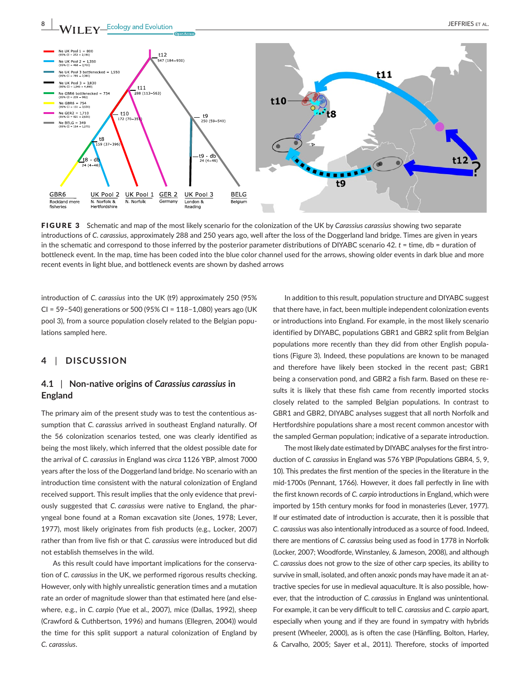

FIGURE 3 Schematic and map of the most likely scenario for the colonization of the UK by *Carassius carassius* showing two separate introductions of *C. carassius*, approximately 288 and 250 years ago, well after the loss of the Doggerland land bridge. Times are given in years in the schematic and correspond to those inferred by the posterior parameter distributions of DIYABC scenario 42. *t* = time, db = duration of bottleneck event. In the map, time has been coded into the blue color channel used for the arrows, showing older events in dark blue and more recent events in light blue, and bottleneck events are shown by dashed arrows

introduction of *C. carassius* into the UK (t9) approximately 250 (95% CI = 59–540) generations or 500 (95% CI = 118–1,080) years ago (UK pool 3), from a source population closely related to the Belgian populations sampled here.

#### **4** | **DISCUSSION**

## **4.1** | **Non-native origins of** *Carassius carassius* **in England**

The primary aim of the present study was to test the contentious assumption that *C. carassius* arrived in southeast England naturally. Of the 56 colonization scenarios tested, one was clearly identified as being the most likely, which inferred that the oldest possible date for the arrival of *C. carassius* in England was *circa* 1126 YBP, almost 7000 years after the loss of the Doggerland land bridge. No scenario with an introduction time consistent with the natural colonization of England received support. This result implies that the only evidence that previously suggested that *C. carassius* were native to England, the pharyngeal bone found at a Roman excavation site (Jones, 1978; Lever, 1977), most likely originates from fish products (e.g., Locker, 2007) rather than from live fish or that *C. carassius* were introduced but did not establish themselves in the wild.

As this result could have important implications for the conservation of *C. carassius* in the UK, we performed rigorous results checking. However, only with highly unrealistic generation times and a mutation rate an order of magnitude slower than that estimated here (and elsewhere, e.g., in *C. carpio* (Yue et al., 2007), mice (Dallas, 1992), sheep (Crawford & Cuthbertson, 1996) and humans (Ellegren, 2004)) would the time for this split support a natural colonization of England by *C. carassius*.

In addition to this result, population structure and DIYABC suggest that there have, in fact, been multiple independent colonization events or introductions into England. For example, in the most likely scenario identified by DIYABC, populations GBR1 and GBR2 split from Belgian populations more recently than they did from other English populations (Figure 3). Indeed, these populations are known to be managed and therefore have likely been stocked in the recent past; GBR1 being a conservation pond, and GBR2 a fish farm. Based on these results it is likely that these fish came from recently imported stocks closely related to the sampled Belgian populations. In contrast to GBR1 and GBR2, DIYABC analyses suggest that all north Norfolk and Hertfordshire populations share a most recent common ancestor with the sampled German population; indicative of a separate introduction.

The most likely date estimated by DIYABC analyses forthe first introduction of *C. carassius* in England was 576 YBP (Populations GBR4, 5, 9, 10). This predates the first mention of the species in the literature in the mid-1700s (Pennant, 1766). However, it does fall perfectly in line with the first known records of *C. carpio* introductions in England, which were imported by 15th century monks for food in monasteries (Lever, 1977). If our estimated date of introduction is accurate, then it is possible that *C. carassius* was also intentionally introduced as a source of food. Indeed, there are mentions of *C. carassius* being used as food in 1778 in Norfolk (Locker, 2007; Woodforde, Winstanley, & Jameson, 2008), and although *C. carassius* does not grow to the size of other carp species, its ability to survive in small, isolated, and often anoxic ponds may have made it an attractive species for use in medieval aquaculture. It is also possible, however, that the introduction of *C. carassius* in England was unintentional. For example, it can be very difficult to tell *C. carassius* and *C. carpio* apart, especially when young and if they are found in sympatry with hybrids present (Wheeler, 2000), as is often the case (Hänfling, Bolton, Harley, & Carvalho, 2005; Sayer et al., 2011). Therefore, stocks of imported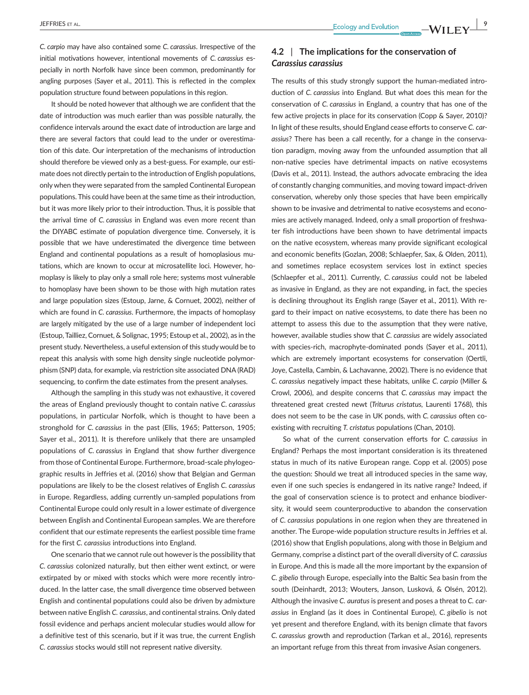*C. carpio* may have also contained some *C. carassius*. Irrespective of the initial motivations however, intentional movements of *C. carassius* especially in north Norfolk have since been common, predominantly for angling purposes (Sayer et al., 2011). This is reflected in the complex population structure found between populations in this region.

It should be noted however that although we are confident that the date of introduction was much earlier than was possible naturally, the confidence intervals around the exact date of introduction are large and there are several factors that could lead to the under or overestimation of this date. Our interpretation of the mechanisms of introduction should therefore be viewed only as a best-guess. For example, our estimate does not directly pertain to the introduction of English populations, only when they were separated from the sampled Continental European populations. This could have been at the same time as their introduction, but it was more likely prior to their introduction. Thus, it is possible that the arrival time of *C. carassius* in England was even more recent than the DIYABC estimate of population divergence time. Conversely, it is possible that we have underestimated the divergence time between England and continental populations as a result of homoplasious mutations, which are known to occur at microsatellite loci. However, homoplasy is likely to play only a small role here; systems most vulnerable to homoplasy have been shown to be those with high mutation rates and large population sizes (Estoup, Jarne, & Cornuet, 2002), neither of which are found in *C. carassius*. Furthermore, the impacts of homoplasy are largely mitigated by the use of a large number of independent loci (Estoup, Tailliez, Cornuet, & Solignac, 1995; Estoup et al., 2002), as in the present study. Nevertheless, a useful extension of this study would be to repeat this analysis with some high density single nucleotide polymorphism (SNP) data, for example, via restriction site associated DNA (RAD) sequencing, to confirm the date estimates from the present analyses.

Although the sampling in this study was not exhaustive, it covered the areas of England previously thought to contain native *C. carassius* populations, in particular Norfolk, which is thought to have been a stronghold for *C. carassius* in the past (Ellis, 1965; Patterson, 1905; Sayer et al., 2011). It is therefore unlikely that there are unsampled populations of *C. carassius* in England that show further divergence from those of Continental Europe. Furthermore, broad-scale phylogeographic results in Jeffries et al. (2016) show that Belgian and German populations are likely to be the closest relatives of English *C. carassius* in Europe. Regardless, adding currently un-sampled populations from Continental Europe could only result in a lower estimate of divergence between English and Continental European samples. We are therefore confident that our estimate represents the earliest possible time frame for the first *C. carassius* introductions into England.

One scenario that we cannot rule out however is the possibility that *C. carassius* colonized naturally, but then either went extinct, or were extirpated by or mixed with stocks which were more recently introduced. In the latter case, the small divergence time observed between English and continental populations could also be driven by admixture between native English *C. carassius*, and continental strains. Only dated fossil evidence and perhaps ancient molecular studies would allow for a definitive test of this scenario, but if it was true, the current English *C. carassius* stocks would still not represent native diversity.

## **4.2** | **The implications for the conservation of**  *Carassius carassius*

The results of this study strongly support the human-mediated introduction of *C. carassius* into England. But what does this mean for the conservation of *C. carassius* in England, a country that has one of the few active projects in place for its conservation (Copp & Sayer, 2010)? In light of these results, should England cease efforts to conserve *C. carassius*? There has been a call recently, for a change in the conservation paradigm, moving away from the unfounded assumption that all non-native species have detrimental impacts on native ecosystems (Davis et al., 2011). Instead, the authors advocate embracing the idea of constantly changing communities, and moving toward impact-driven conservation, whereby only those species that have been empirically shown to be invasive and detrimental to native ecosystems and economies are actively managed. Indeed, only a small proportion of freshwater fish introductions have been shown to have detrimental impacts on the native ecosystem, whereas many provide significant ecological and economic benefits (Gozlan, 2008; Schlaepfer, Sax, & Olden, 2011), and sometimes replace ecosystem services lost in extinct species (Schlaepfer et al., 2011). Currently, *C. carassius* could not be labeled as invasive in England, as they are not expanding, in fact, the species is declining throughout its English range (Sayer et al., 2011). With regard to their impact on native ecosystems, to date there has been no attempt to assess this due to the assumption that they were native, however, available studies show that *C. carassius* are widely associated with species-rich, macrophyte-dominated ponds (Sayer et al., 2011), which are extremely important ecosystems for conservation (Oertli, Joye, Castella, Cambin, & Lachavanne, 2002). There is no evidence that *C. carassius* negatively impact these habitats, unlike *C. carpio* (Miller & Crowl, 2006), and despite concerns that *C. carassius* may impact the threatened great crested newt (*Triturus cristatus,* Laurenti 1768), this does not seem to be the case in UK ponds, with *C. carassius* often coexisting with recruiting *T. cristatus* populations (Chan, 2010).

So what of the current conservation efforts for *C. carassius* in England? Perhaps the most important consideration is its threatened status in much of its native European range. Copp et al. (2005) pose the question: Should we treat all introduced species in the same way, even if one such species is endangered in its native range? Indeed, if the goal of conservation science is to protect and enhance biodiversity, it would seem counterproductive to abandon the conservation of *C. carassius* populations in one region when they are threatened in another. The Europe-wide population structure results in Jeffries et al. (2016) show that English populations, along with those in Belgium and Germany, comprise a distinct part of the overall diversity of *C. carassius* in Europe. And this is made all the more important by the expansion of *C. gibelio* through Europe, especially into the Baltic Sea basin from the south (Deinhardt, 2013; Wouters, Janson, Lusková, & Olsén, 2012). Although the invasive *C. auratus* is present and poses a threat to *C. carassius* in England (as it does in Continental Europe), *C. gibelio* is not yet present and therefore England, with its benign climate that favors *C. carassius* growth and reproduction (Tarkan et al., 2016), represents an important refuge from this threat from invasive Asian congeners.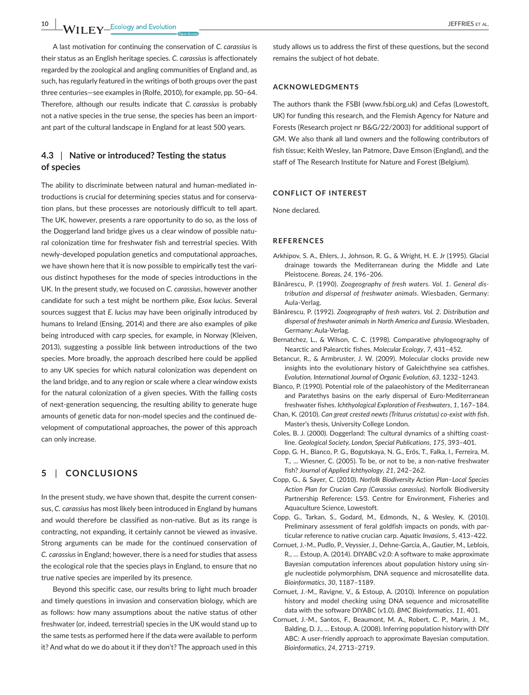**10 |**  JEFFRIES et al

A last motivation for continuing the conservation of *C. carassius* is their status as an English heritage species. *C. carassius* is affectionately regarded by the zoological and angling communities of England and, as such, has regularly featured in the writings of both groups over the past three centuries—see examples in (Rolfe, 2010), for example, pp. 50–64. Therefore, although our results indicate that *C. carassius* is probably not a native species in the true sense, the species has been an important part of the cultural landscape in England for at least 500 years.

## **4.3** | **Native or introduced? Testing the status of species**

The ability to discriminate between natural and human-mediated introductions is crucial for determining species status and for conservation plans, but these processes are notoriously difficult to tell apart. The UK, however, presents a rare opportunity to do so, as the loss of the Doggerland land bridge gives us a clear window of possible natural colonization time for freshwater fish and terrestrial species. With newly-developed population genetics and computational approaches, we have shown here that it is now possible to empirically test the various distinct hypotheses for the mode of species introductions in the UK. In the present study, we focused on *C. carassius*, however another candidate for such a test might be northern pike, *Esox lucius*. Several sources suggest that *E. lucius* may have been originally introduced by humans to Ireland (Ensing, 2014) and there are also examples of pike being introduced with carp species, for example, in Norway (Kleiven, 2013), suggesting a possible link between introductions of the two species. More broadly, the approach described here could be applied to any UK species for which natural colonization was dependent on the land bridge, and to any region or scale where a clear window exists for the natural colonization of a given species. With the falling costs of next-generation sequencing, the resulting ability to generate huge amounts of genetic data for non-model species and the continued development of computational approaches, the power of this approach can only increase.

## **5** | **CONCLUSIONS**

In the present study, we have shown that, despite the current consensus, *C. carassius* has most likely been introduced in England by humans and would therefore be classified as non-native. But as its range is contracting, not expanding, it certainly cannot be viewed as invasive. Strong arguments can be made for the continued conservation of *C. carassius* in England; however, there is a need for studies that assess the ecological role that the species plays in England, to ensure that no true native species are imperiled by its presence.

Beyond this specific case, our results bring to light much broader and timely questions in invasion and conservation biology, which are as follows: how many assumptions about the native status of other freshwater (or, indeed, terrestrial) species in the UK would stand up to the same tests as performed here if the data were available to perform it? And what do we do about it if they don't? The approach used in this

study allows us to address the first of these questions, but the second remains the subject of hot debate.

#### **ACKNOWLEDGMENTS**

The authors thank the FSBI ([www.fsbi.org.uk\)](http://www.fsbi.org.uk) and Cefas (Lowestoft, UK) for funding this research, and the Flemish Agency for Nature and Forests (Research project nr B&G/22/2003) for additional support of GM. We also thank all land owners and the following contributors of fish tissue; Keith Wesley, Ian Patmore, Dave Emson (England), and the staff of The Research Institute for Nature and Forest (Belgium).

#### **CONFLICT OF INTEREST**

None declared.

#### **REFERENCES**

- Arkhipov, S. A., Ehlers, J., Johnson, R. G., & Wright, H. E. Jr (1995). Glacial drainage towards the Mediterranean during the Middle and Late Pleistocene. *Boreas*, *24*, 196–206.
- Bănărescu, P. (1990). *Zoogeography of fresh waters. Vol. 1. General distribution and dispersal of freshwater animals*. Wiesbaden, Germany: Aula-Verlag.
- Bănărescu, P. (1992). *Zoogeography of fresh waters. Vol. 2. Distribution and dispersal of freshwater animals in North America and Eurasia*. Wiesbaden, Germany: Aula-Verlag.
- Bernatchez, L., & Wilson, C. C. (1998). Comparative phylogeography of Nearctic and Palearctic fishes. *Molecular Ecology*, *7*, 431–452.
- Betancur, R., & Armbruster, J. W. (2009). Molecular clocks provide new insights into the evolutionary history of Galeichthyine sea catfishes. *Evolution, International Journal of Organic Evolution*, *63*, 1232–1243.
- Bianco, P. (1990). Potential role of the palaeohistory of the Mediterranean and Paratethys basins on the early dispersal of Euro-Mediterranean freshwater fishes. *Ichthyological Exploration of Freshwaters*, *1*, 167–184.
- Chan, K. (2010). *Can great crested newts (Triturus cristatus) co-exist with fish*. Master's thesis, University College London.
- Coles, B. J. (2000). Doggerland: The cultural dynamics of a shifting coastline. *Geological Society, London, Special Publications*, *175*, 393–401.
- Copp, G. H., Bianco, P. G., Bogutskaya, N. G., Erős, T., Falka, I., Ferreira, M. T., ... Wiesner, C. (2005). To be, or not to be, a non-native freshwater fish? *Journal of Applied Ichthyology*, *21*, 242–262.
- Copp, G., & Sayer, C. (2010). *Norfolk Biodiversity Action Plan–Local Species Action Plan for Crucian Carp (Carassius carassius)*. Norfolk Biodiversity Partnership Reference: LS⁄3. Centre for Environment, Fisheries and Aquaculture Science, Lowestoft.
- Copp, G., Tarkan, S., Godard, M., Edmonds, N., & Wesley, K. (2010). Preliminary assessment of feral goldfish impacts on ponds, with particular reference to native crucian carp. *Aquatic Invasions*, *5*, 413–422.
- Cornuet, J.-M., Pudlo, P., Veyssier, J., Dehne-Garcia, A., Gautier, M., Leblois, R., … Estoup, A. (2014). DIYABC v2.0: A software to make approximate Bayesian computation inferences about population history using single nucleotide polymorphism, DNA sequence and microsatellite data. *Bioinformatics*, *30*, 1187–1189.
- Cornuet, J.-M., Ravigne, V., & Estoup, A. (2010). Inference on population history and model checking using DNA sequence and microsatellite data with the software DIYABC (v1.0). *BMC Bioinformatics*, *11*, 401.
- Cornuet, J.-M., Santos, F., Beaumont, M. A., Robert, C. P., Marin, J. M., Balding, D. J., … Estoup, A. (2008). Inferring population history with DIY ABC: A user-friendly approach to approximate Bayesian computation. *Bioinformatics*, *24*, 2713–2719.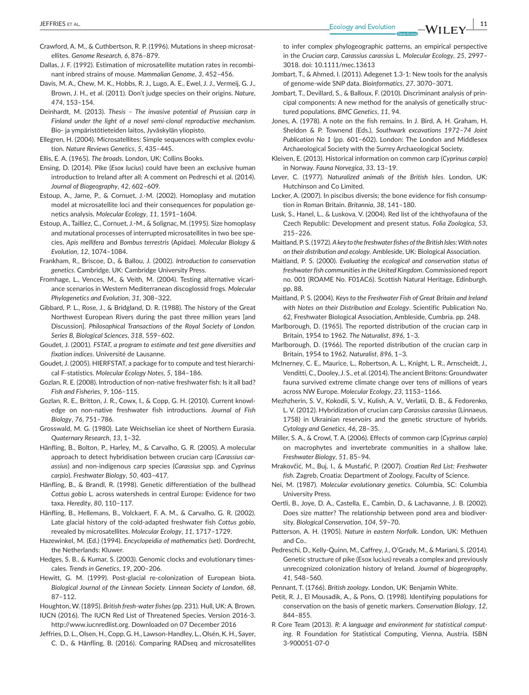- Crawford, A. M., & Cuthbertson, R. P. (1996). Mutations in sheep microsatellites. *Genome Research*, *6*, 876–879.
- Dallas, J. F. (1992). Estimation of microsatellite mutation rates in recombinant inbred strains of mouse. *Mammalian Genome*, *3*, 452–456.
- Davis, M. A., Chew, M. K., Hobbs, R. J., Lugo, A. E., Ewel, J. J., Vermeij, G. J., Brown, J. H., et al. (2011). Don't judge species on their origins. *Nature*, *474*, 153–154.
- Deinhardt, M. (2013). *Thesis The invasive potential of Prussian carp in Finland under the light of a novel semi-clonal reproductive mechanism*. Bio- ja ympäristötieteiden laitos, Jyväskylän yliopisto.
- Ellegren, H. (2004). Microsatellites: Simple sequences with complex evolution. *Nature Reviews Genetics*, *5*, 435–445.
- Ellis, E. A. (1965). *The broads*. London, UK: Collins Books.
- Ensing, D. (2014). Pike (*Esox lucius*) could have been an exclusive human introduction to Ireland after all: A comment on Pedreschi et al. (2014). *Journal of Biogeography*, *42*, 602–609.
- Estoup, A., Jarne, P., & Cornuet, J.-M. (2002). Homoplasy and mutation model at microsatellite loci and their consequences for population genetics analysis. *Molecular Ecology*, *11*, 1591–1604.
- Estoup, A., Tailliez, C., Cornuet, J.-M., & Solignac, M. (1995). Size homoplasy and mutational processes of interrupted microsatellites in two bee species, *Apis mellifera* and *Bombus terrestris* (Apidae). *Molecular Biology & Evolution*, *12*, 1074–1084.
- Frankham, R., Briscoe, D., & Ballou, J. (2002). *Introduction to conservation genetics*. Cambridge, UK: Cambridge University Press.
- Fromhage, L., Vences, M., & Veith, M. (2004). Testing alternative vicariance scenarios in Western Mediterranean discoglossid frogs. *Molecular Phylogenetics and Evolution*, *31*, 308–322.
- Gibbard, P. L., Rose, J., & Bridgland, D. R. (1988). The history of the Great Northwest European Rivers during the past three million years [and Discussion]. *Philosophical Transactions of the Royal Society of London. Series B, Biological Sciences*, *318*, 559–602.
- Goudet, J. (2001). *FSTAT, a program to estimate and test gene diversities and fixation indices*. Université de Lausanne.
- Goudet, J. (2005). HIERFSTAT, a package for to compute and test hierarchical F-statistics. *Molecular Ecology Notes*, *5*, 184–186.
- Gozlan, R. E. (2008). Introduction of non-native freshwater fish: Is it all bad? *Fish and Fisheries*, *9*, 106–115.
- Gozlan, R. E., Britton, J. R., Cowx, I., & Copp, G. H. (2010). Current knowledge on non-native freshwater fish introductions. *Journal of Fish Biology*, *76*, 751–786.
- Grosswald, M. G. (1980). Late Weichselian ice sheet of Northern Eurasia. *Quaternary Research*, *13*, 1–32.
- Hänfling, B., Bolton, P., Harley, M., & Carvalho, G. R. (2005). A molecular approach to detect hybridisation between crucian carp (*Carassius carassius*) and non-indigenous carp species (*Carassius* spp. and *Cyprinus carpio*). *Freshwater Biology*, *50*, 403–417.
- Hänfling, B., & Brandl, R. (1998). Genetic differentiation of the bullhead *Cottus gobio* L. across watersheds in central Europe: Evidence for two taxa. *Heredity*, *80*, 110–117.
- Hänfling, B., Hellemans, B., Volckaert, F. A. M., & Carvalho, G. R. (2002). Late glacial history of the cold-adapted freshwater fish *Cottus gobio*, revealed by microsatellites. *Molecular Ecology*, *11*, 1717–1729.
- Hazewinkel, M. (Ed.) (1994). *Encyclopeidia of mathematics (set)*. Dordrecht, the Netherlands: Kluwer.
- Hedges, S. B., & Kumar, S. (2003). Genomic clocks and evolutionary timescales. *Trends in Genetics*, *19*, 200–206.
- Hewitt, G. M. (1999). Post-glacial re-colonization of European biota. *Biological Journal of the Linnean Society. Linnean Society of London*, *68*, 87–112.
- Houghton, W. (1895). *British fresh-water fishes* (pp. 231). Hull, UK:A. Brown.
- IUCN (2016). The IUCN Red List of Threatened Species. Version 2016-3. <http://www.iucnredlist.org>. Downloaded on 07 December 2016
- Jeffries, D. L., Olsen, H., Copp, G. H., Lawson-Handley, L., Olsén, K. H., Sayer, C. D., & Hänfling, B. (2016). Comparing RADseq and microsatellites

to infer complex phylogeographic patterns, an empirical perspective in the *Crucian carp*, *Carassius carassius* L. *Molecular Ecology*, *25*, 2997– 3018. doi: [10.1111/mec.13613](https://doi.org/10.1111/mec.13613)

- Jombart, T., & Ahmed, I. (2011). Adegenet 1.3-1: New tools for the analysis of genome-wide SNP data. *Bioinformatics*, *27*, 3070–3071.
- Jombart, T., Devillard, S., & Balloux, F. (2010). Discriminant analysis of principal components: A new method for the analysis of genetically structured populations. *BMC Genetics*, *11*, 94.
- Jones, A. (1978). A note on the fish remains. In J. Bird, A. H. Graham, H. Sheldon & P. Townend (Eds.), *Southwark excavations 1972–74 Joint Publication No 1* (pp. 601–602). London: The London and Middlesex Archaeological Society with the Surrey Archaeological Society.
- Kleiven, E. (2013). Historical information on common carp (*Cyprinus carpio*) in Norway. *Fauna Norvegica*, *33*, 13–19.
- Lever, C. (1977). *Naturalized animals of the British Isles*. London, UK: Hutchinson and Co Limited.
- Locker, A. (2007). In piscibus diversis; the bone evidence for fish consumption in Roman Britain. *Britannia*, *38*, 141–180.
- Lusk, S., Hanel, L., & Luskova, V. (2004). Red list of the ichthyofauna of the Czech Republic: Development and present status. *Folia Zoologica*, *53*, 215–226.
- Maitland, P. S. (1972). *A key to the freshwater fishes of the British Isles: With notes on their distribution and ecology*. Ambleside, UK: Biological Association.
- Maitland, P. S. (2000). *Evaluating the ecological and conservation status of freshwater fish communities in the United Kingdom*. Commissioned report no. 001 (ROAME No. F01AC6). Scottish Natural Heritage, Edinburgh. pp. 88.
- Maitland, P. S. (2004). *Keys to the Freshwater Fish of Great Britain and Ireland with Notes on their Distribution and Ecology*. Scientific Publication No. 62, Freshwater Biological Association, Ambleside, Cumbria. pp. 248.
- Marlborough, D. (1965). The reported distribution of the crucian carp in Britain, 1954 to 1962. *The Naturalist*, *896*, 1–3.
- Marlborough, D. (1966). The reported distribution of the crucian carp in Britain, 1954 to 1962. *Naturalist*, *896*, 1–3.
- McInerney, C. E., Maurice, L., Robertson, A. L., Knight, L. R., Arnscheidt, J., Venditti, C., Dooley, J. S., et al. (2014).The ancient Britons: Groundwater fauna survived extreme climate change over tens of millions of years across NW Europe. *Molecular Ecology*, *23*, 1153–1166.
- Mezhzherin, S. V., Kokodii, S. V., Kulish, A. V., Verlatii, D. B., & Fedorenko, L. V. (2012). Hybridization of crucian carp *Carassius carassius* (Linnaeus, 1758) in Ukrainian reservoirs and the genetic structure of hybrids. *Cytology and Genetics*, *46*, 28–35.
- Miller, S. A., & Crowl, T. A. (2006). Effects of common carp (*Cyprinus carpio*) on macrophytes and invertebrate communities in a shallow lake. *Freshwater Biology*, *51*, 85–94.
- Mrakovčić, M., Buj, I., & Mustafić, P. (2007). *Croatian Red List: Freshwater fish*. Zagreb, Croatia: Department of Zoology, Faculty of Science.
- Nei, M. (1987). *Molecular evolutionary genetics*. Columbia, SC: Columbia University Press.
- Oertli, B., Joye, D. A., Castella, E., Cambin, D., & Lachavanne, J. B. (2002). Does size matter? The relationship between pond area and biodiversity. *Biological Conservation*, *104*, 59–70.
- Patterson, A. H. (1905). *Nature in eastern Norfolk*. London, UK: Methuen and Co..
- Pedreschi, D., Kelly-Quinn, M., Caffrey, J., O'Grady, M., & Mariani, S. (2014). Genetic structure of pike (Esox lucius) reveals a complex and previously unrecognized colonization history of Ireland. *Journal of biogeography*, *41*, 548–560.
- Pennant, T. (1766). *British zoology*. London, UK: Benjamin White.
- Petit, R. J., El Mousadik, A., & Pons, O. (1998). Identifying populations for conservation on the basis of genetic markers. *Conservation Biology*, *12*, 844–855.
- R Core Team (2013). *R: A language and environment for statistical computing*. R Foundation for Statistical Computing, Vienna, Austria. ISBN 3-900051-07-0